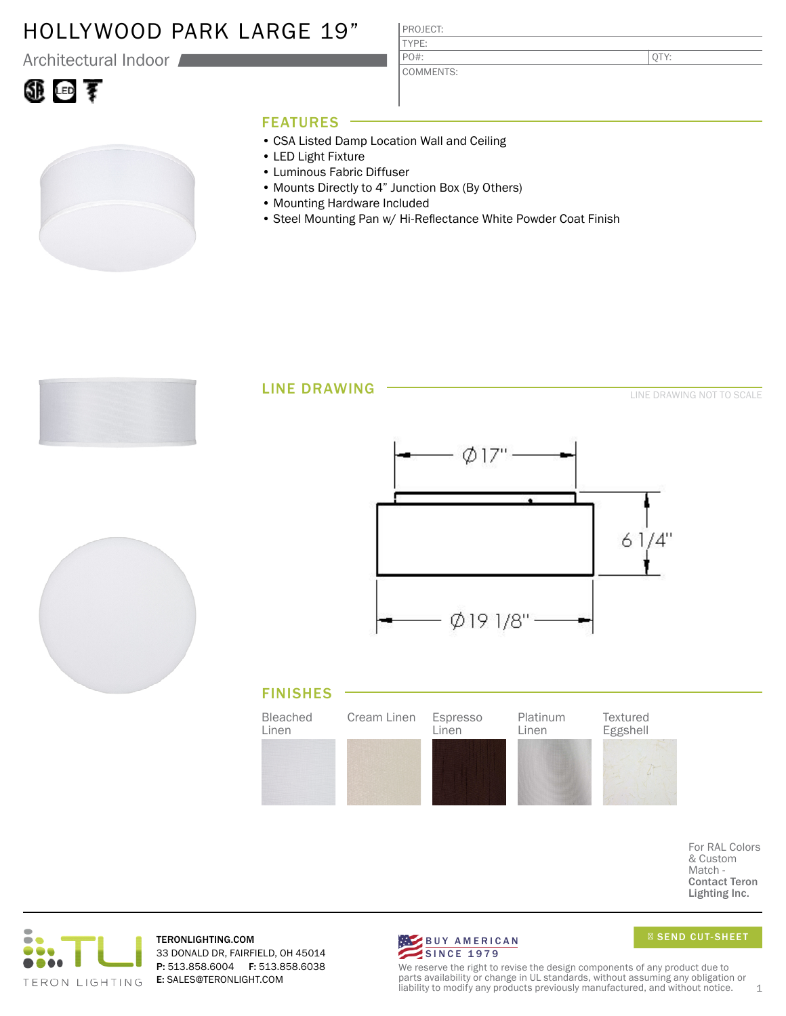### HOLLYWOOD PARK LARGE 19"

Architectural Indoor

# ①回す

PROJECT: TYPE:

PO#:

COMMENTS:

QTY:

### FEATURES

- CSA Listed Damp Location Wall and Ceiling
- LED Light Fixture
- Luminous Fabric Diffuser
- Mounts Directly to 4" Junction Box (By Others)
- Mounting Hardware Included
- Steel Mounting Pan w/ Hi-Reflectance White Powder Coat Finish



For RAL Colors & Custom Match - Contact Teron Lighting Inc.



TERONLIGHTING.COM 33 DONALD DR, FAIRFIELD, OH 45014 P: 513.858.6004 F: 513.858.6038 E: SALES@TERONLIGHT.COM



SEND CUT-SHEET

We reserve the right to revise the design components of any product due to parts availability or change in UL standards, without assuming any obligation or liability to modify any products previously manufactured, and without notice.  $1$